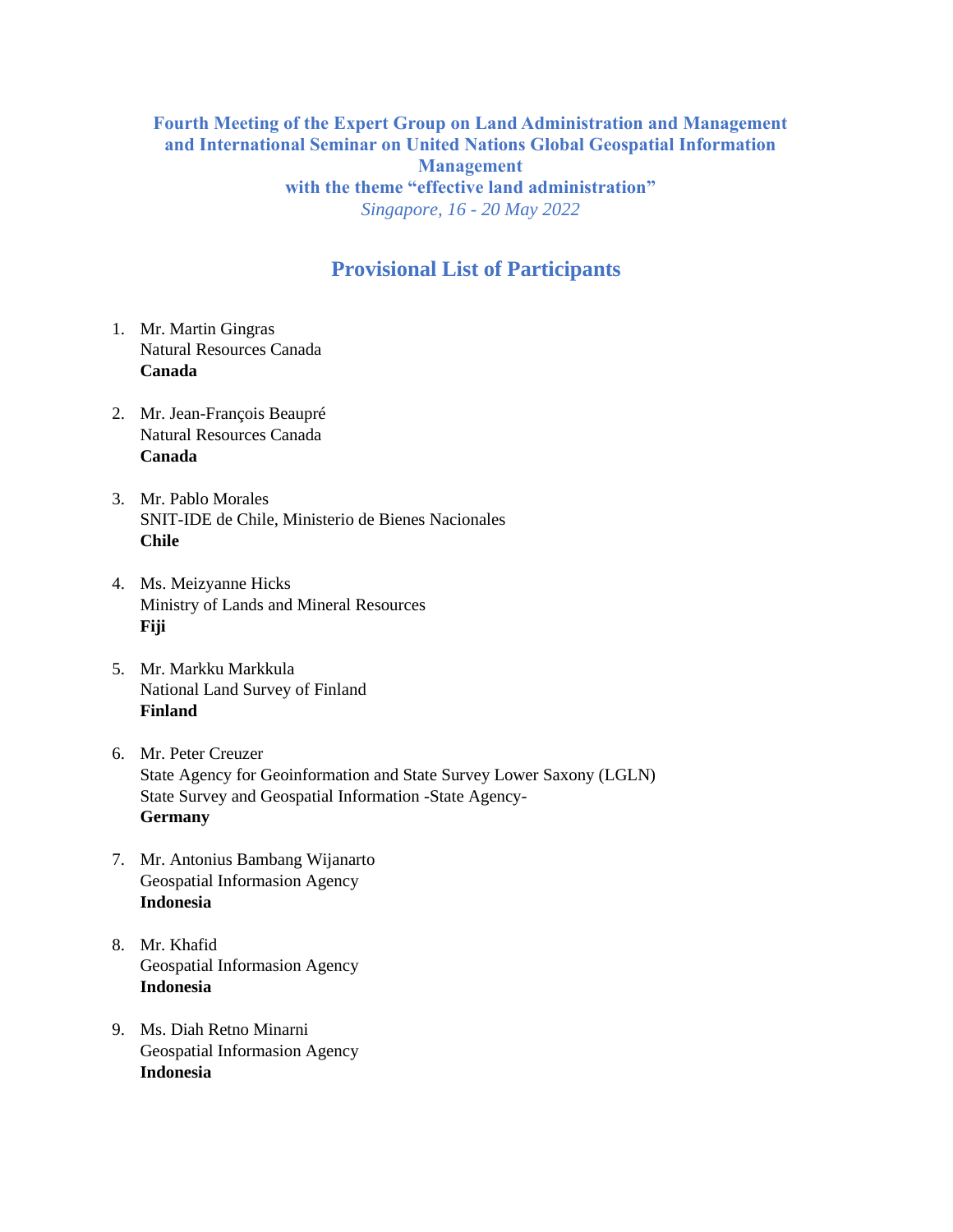## **Fourth Meeting of the Expert Group on Land Administration and Management and International Seminar on United Nations Global Geospatial Information Management with the theme "effective land administration"** *Singapore, 16 - 20 May 2022*

## **Provisional List of Participants**

- 1. Mr. Martin Gingras Natural Resources Canada **Canada**
- 2. Mr. Jean-François Beaupré Natural Resources Canada **Canada**
- 3. Mr. Pablo Morales SNIT-IDE de Chile, Ministerio de Bienes Nacionales **Chile**
- 4. Ms. Meizyanne Hicks Ministry of Lands and Mineral Resources **Fiji**
- 5. Mr. Markku Markkula National Land Survey of Finland **Finland**
- 6. Mr. Peter Creuzer State Agency for Geoinformation and State Survey Lower Saxony (LGLN) State Survey and Geospatial Information -State Agency-**Germany**
- 7. Mr. Antonius Bambang Wijanarto Geospatial Informasion Agency **Indonesia**
- 8. Mr. Khafid Geospatial Informasion Agency **Indonesia**
- 9. Ms. Diah Retno Minarni Geospatial Informasion Agency **Indonesia**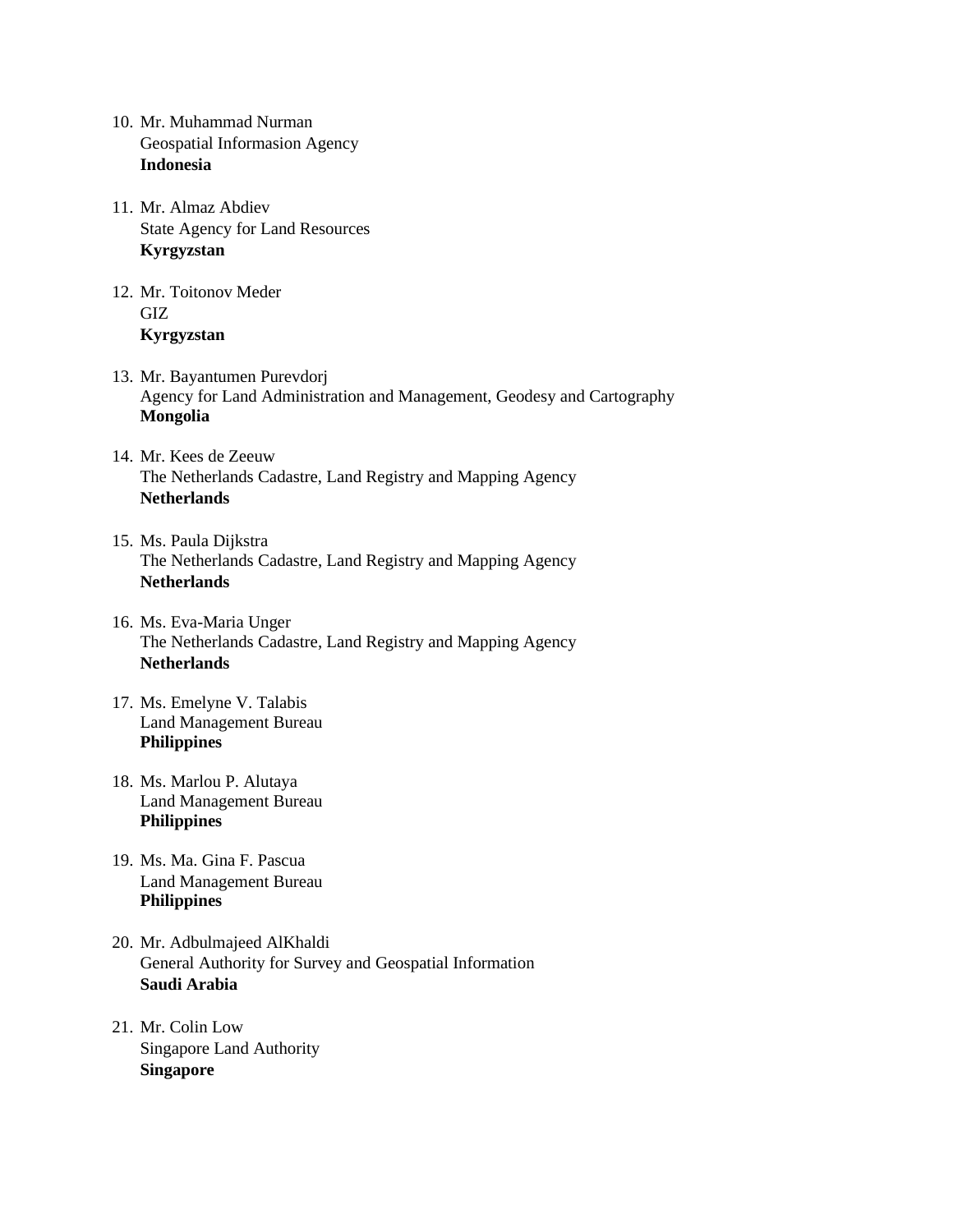- 10. Mr. Muhammad Nurman Geospatial Informasion Agency **Indonesia**
- 11. Mr. Almaz Abdiev State Agency for Land Resources **Kyrgyzstan**
- 12. Mr. Toitonov Meder GIZ **Kyrgyzstan**
- 13. Mr. Bayantumen Purevdorj Agency for Land Administration and Management, Geodesy and Cartography **Mongolia**
- 14. Mr. Kees de Zeeuw The Netherlands Cadastre, Land Registry and Mapping Agency **Netherlands**
- 15. Ms. Paula Dijkstra The Netherlands Cadastre, Land Registry and Mapping Agency **Netherlands**
- 16. Ms. Eva-Maria Unger The Netherlands Cadastre, Land Registry and Mapping Agency **Netherlands**
- 17. Ms. Emelyne V. Talabis Land Management Bureau **Philippines**
- 18. Ms. Marlou P. Alutaya Land Management Bureau **Philippines**
- 19. Ms. Ma. Gina F. Pascua Land Management Bureau **Philippines**
- 20. Mr. Adbulmajeed AlKhaldi General Authority for Survey and Geospatial Information **Saudi Arabia**
- 21. Mr. Colin Low Singapore Land Authority **Singapore**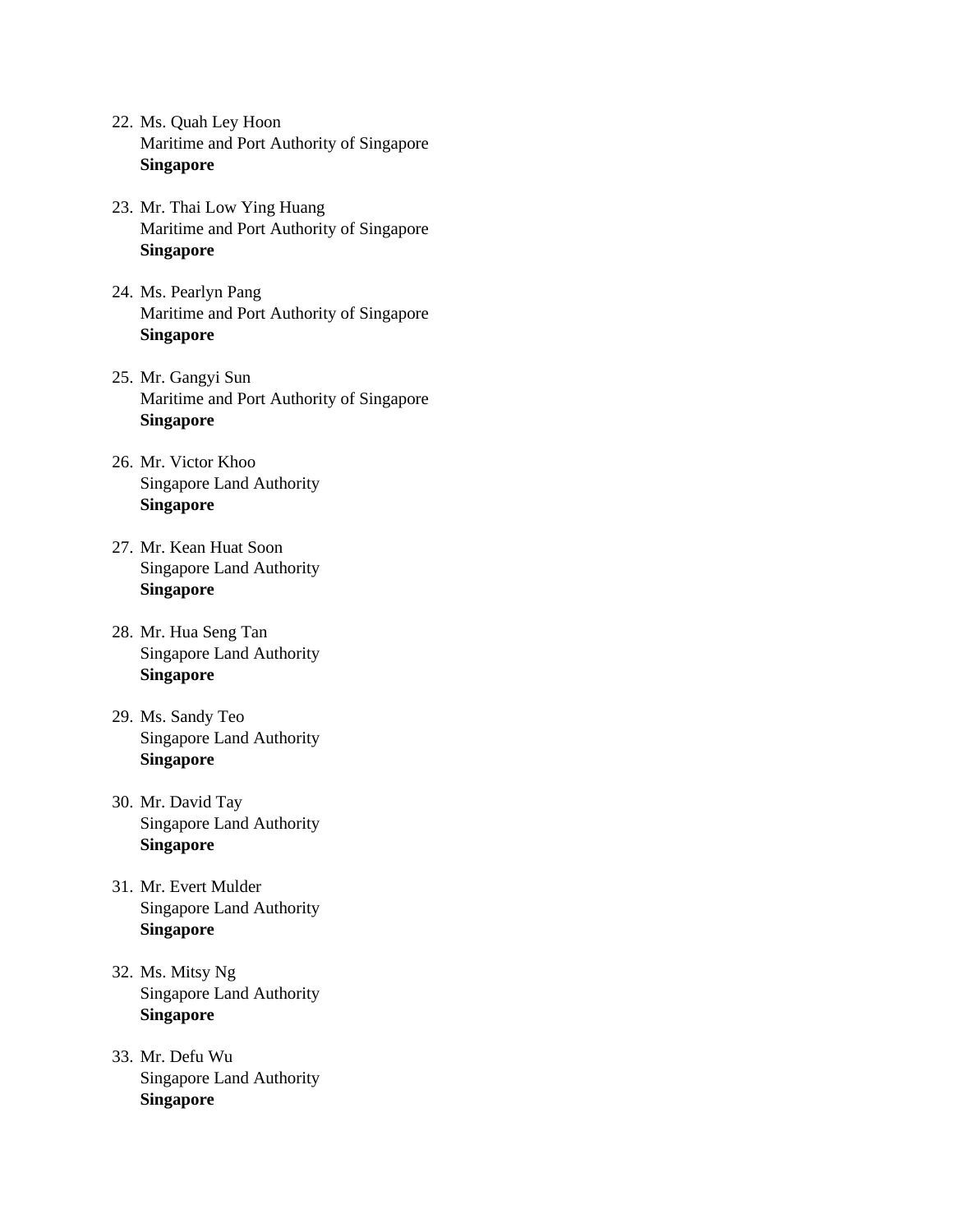- 22. Ms. Quah Ley Hoon Maritime and Port Authority of Singapore **Singapore**
- 23. Mr. Thai Low Ying Huang Maritime and Port Authority of Singapore **Singapore**
- 24. Ms. Pearlyn Pang Maritime and Port Authority of Singapore **Singapore**
- 25. Mr. Gangyi Sun Maritime and Port Authority of Singapore **Singapore**
- 26. Mr. Victor Khoo Singapore Land Authority **Singapore**
- 27. Mr. Kean Huat Soon Singapore Land Authority **Singapore**
- 28. Mr. Hua Seng Tan Singapore Land Authority **Singapore**
- 29. Ms. Sandy Teo Singapore Land Authority **Singapore**
- 30. Mr. David Tay Singapore Land Authority **Singapore**
- 31. Mr. Evert Mulder Singapore Land Authority **Singapore**
- 32. Ms. Mitsy Ng Singapore Land Authority **Singapore**
- 33. Mr. Defu Wu Singapore Land Authority **Singapore**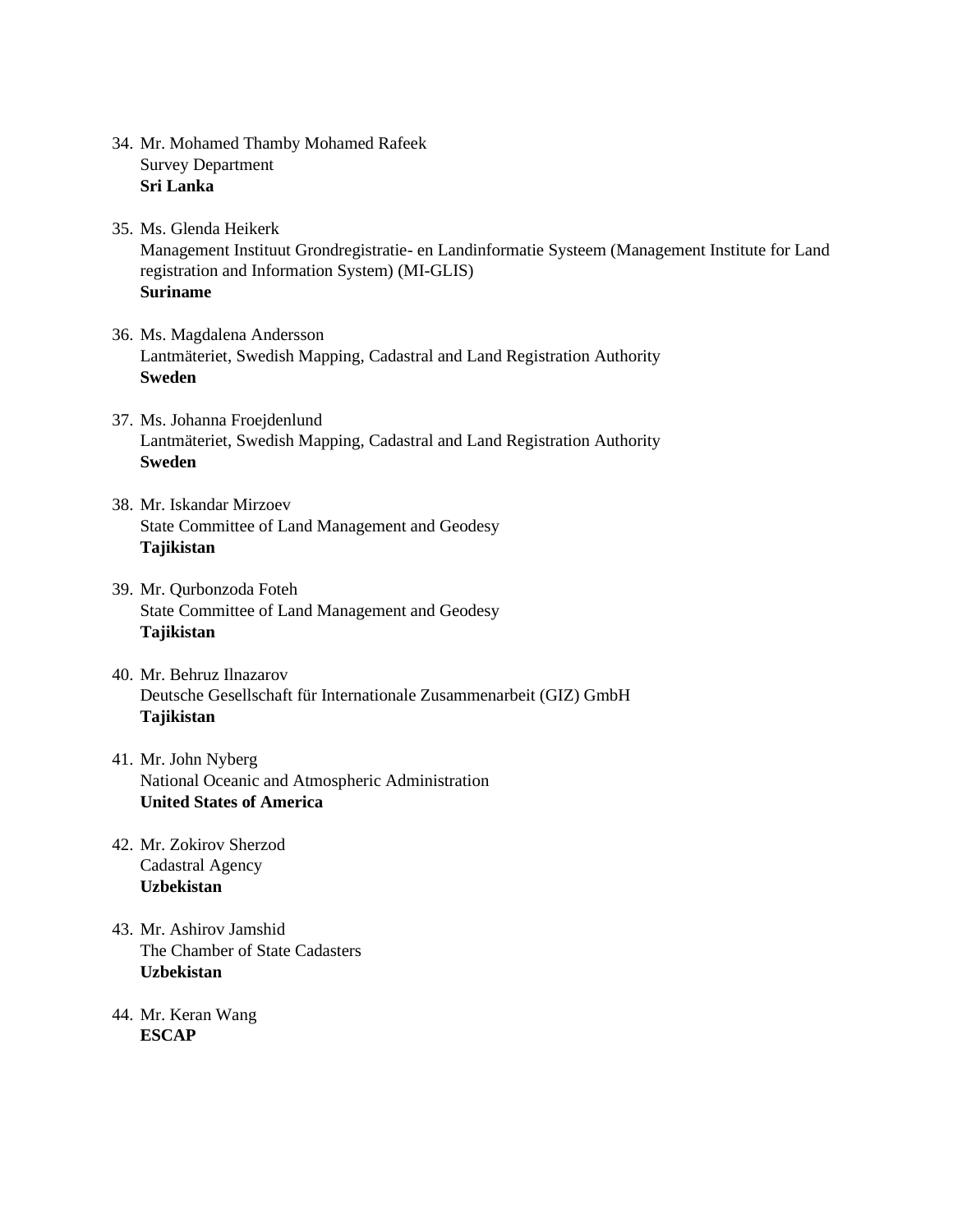- 34. Mr. Mohamed Thamby Mohamed Rafeek Survey Department **Sri Lanka**
- 35. Ms. Glenda Heikerk Management Instituut Grondregistratie- en Landinformatie Systeem (Management Institute for Land registration and Information System) (MI-GLIS) **Suriname**
- 36. Ms. Magdalena Andersson Lantmäteriet, Swedish Mapping, Cadastral and Land Registration Authority **Sweden**
- 37. Ms. Johanna Froejdenlund Lantmäteriet, Swedish Mapping, Cadastral and Land Registration Authority **Sweden**
- 38. Mr. Iskandar Mirzoev State Committee of Land Management and Geodesy **Tajikistan**
- 39. Mr. Qurbonzoda Foteh State Committee of Land Management and Geodesy **Tajikistan**
- 40. Mr. Behruz Ilnazarov Deutsche Gesellschaft für Internationale Zusammenarbeit (GIZ) GmbH **Tajikistan**
- 41. Mr. John Nyberg National Oceanic and Atmospheric Administration **United States of America**
- 42. Mr. Zokirov Sherzod Cadastral Agency **Uzbekistan**
- 43. Mr. Ashirov Jamshid The Chamber of State Cadasters **Uzbekistan**
- 44. Mr. Keran Wang **ESCAP**